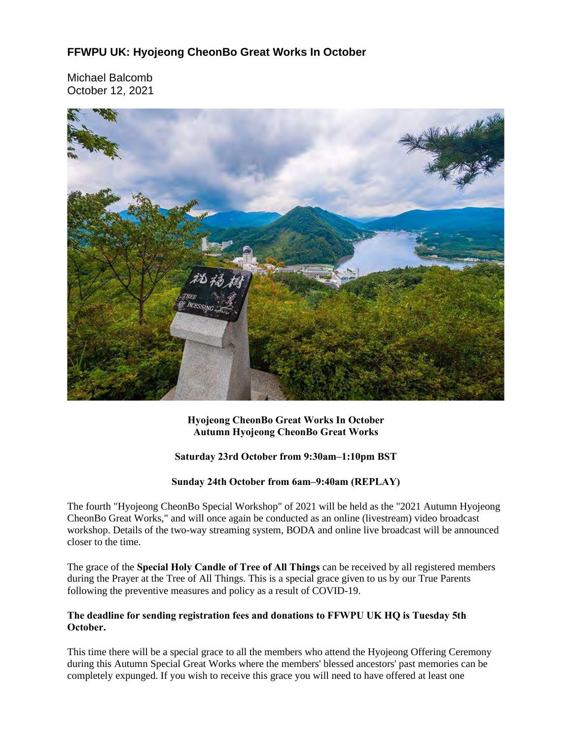# **FFWPU UK: Hyojeong CheonBo Great Works In October**

Michael Balcomb October 12, 2021



### **Hyojeong CheonBo Great Works In October Autumn Hyojeong CheonBo Great Works**

### **Saturday 23rd October from 9:30am–1:10pm BST**

### **Sunday 24th October from 6am–9:40am (REPLAY)**

The fourth "Hyojeong CheonBo Special Workshop" of 2021 will be held as the "2021 Autumn Hyojeong CheonBo Great Works," and will once again be conducted as an online (livestream) video broadcast workshop. Details of the two-way streaming system, BODA and online live broadcast will be announced closer to the time.

The grace of the **Special Holy Candle of Tree of All Things** can be received by all registered members during the Prayer at the Tree of All Things. This is a special grace given to us by our True Parents following the preventive measures and policy as a result of COVID-19.

### **The deadline for sending registration fees and donations to FFWPU UK HQ is Tuesday 5th October.**

This time there will be a special grace to all the members who attend the Hyojeong Offering Ceremony during this Autumn Special Great Works where the members' blessed ancestors' past memories can be completely expunged. If you wish to receive this grace you will need to have offered at least one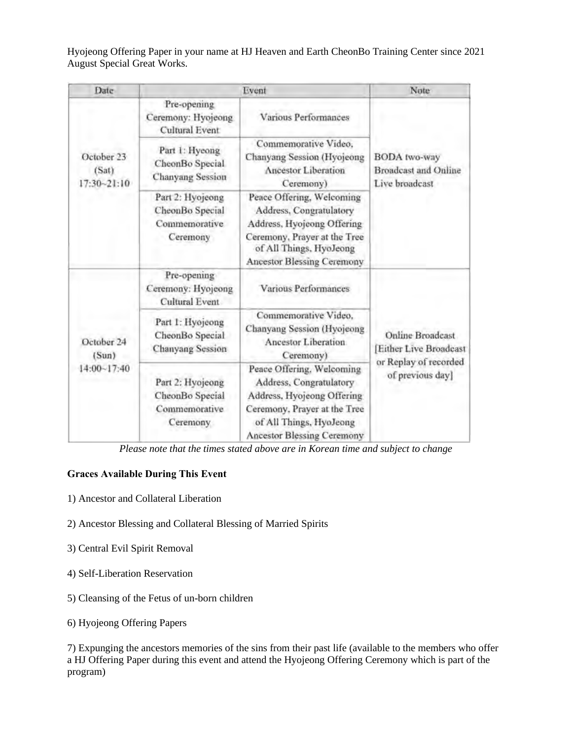Hyojeong Offering Paper in your name at HJ Heaven and Earth CheonBo Training Center since 2021 August Special Great Works.

| Date                                   |                                                                  | Event                                                                                                                                                                              | Note                                                                                   |
|----------------------------------------|------------------------------------------------------------------|------------------------------------------------------------------------------------------------------------------------------------------------------------------------------------|----------------------------------------------------------------------------------------|
| October 23<br>(Sat)<br>$17:30 - 21:10$ | Pre-opening<br>Ceremony: Hyojeong<br>Cultural Event              | Various Performances                                                                                                                                                               | <b>BODA</b> two-way<br><b>Broadcast and Online</b><br>Live broadcast                   |
|                                        | Part 1: Hyeong<br>CheonBo Special<br><b>Chanyang Session</b>     | Commemorative Video,<br>Chanyang Session (Hyojeong<br><b>Ancestor Liberation</b><br>Ceremony)                                                                                      |                                                                                        |
|                                        | Part 2: Hyojeong<br>CheonBo Special<br>Commemorative<br>Ceremony | Peace Offering, Welcoming<br>Address, Congratulatory<br>Address, Hyojeong Offering<br>Ceremony, Prayer at the Tree<br>of All Things, HyoJeong<br>Ancestor Blessing Ceremony        |                                                                                        |
| October 24<br>(Sun)<br>$14:00 - 17:40$ | Pre-opening<br>Ceremony: Hyojeong<br><b>Cultural Event</b>       | Various Performances                                                                                                                                                               | Online Broadcast<br>Either Live Broadcast<br>or Replay of recorded<br>of previous day] |
|                                        | Part 1: Hyojeong<br>CheonBo Special<br><b>Chanyang Session</b>   | Commemorative Video,<br>Chanyang Session (Hyojeong<br>Ancestor Liberation<br>Ceremony)                                                                                             |                                                                                        |
|                                        | Part 2: Hyojeong<br>CheonBo Special<br>Commemorative<br>Ceremony | Peace Offering, Welcoming<br>Address, Congratulatory<br>Address, Hyojeong Offering<br>Ceremony, Prayer at the Tree<br>of All Things, HyoJeong<br><b>Ancestor Blessing Ceremony</b> |                                                                                        |

*Please note that the times stated above are in Korean time and subject to change*

# **Graces Available During This Event**

- 1) Ancestor and Collateral Liberation
- 2) Ancestor Blessing and Collateral Blessing of Married Spirits
- 3) Central Evil Spirit Removal
- 4) Self-Liberation Reservation
- 5) Cleansing of the Fetus of un-born children
- 6) Hyojeong Offering Papers

7) Expunging the ancestors memories of the sins from their past life (available to the members who offer a HJ Offering Paper during this event and attend the Hyojeong Offering Ceremony which is part of the program)